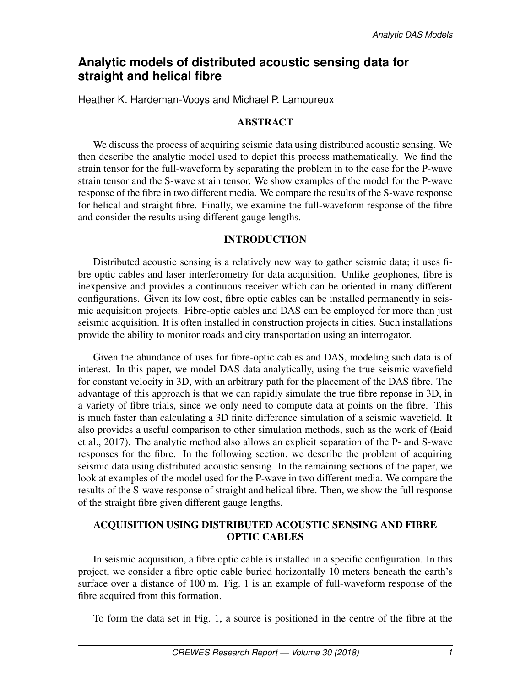# **Analytic models of distributed acoustic sensing data for straight and helical fibre**

Heather K. Hardeman-Vooys and Michael P. Lamoureux

# ABSTRACT

We discuss the process of acquiring seismic data using distributed acoustic sensing. We then describe the analytic model used to depict this process mathematically. We find the strain tensor for the full-waveform by separating the problem in to the case for the P-wave strain tensor and the S-wave strain tensor. We show examples of the model for the P-wave response of the fibre in two different media. We compare the results of the S-wave response for helical and straight fibre. Finally, we examine the full-waveform response of the fibre and consider the results using different gauge lengths.

#### INTRODUCTION

Distributed acoustic sensing is a relatively new way to gather seismic data; it uses fibre optic cables and laser interferometry for data acquisition. Unlike geophones, fibre is inexpensive and provides a continuous receiver which can be oriented in many different configurations. Given its low cost, fibre optic cables can be installed permanently in seismic acquisition projects. Fibre-optic cables and DAS can be employed for more than just seismic acquisition. It is often installed in construction projects in cities. Such installations provide the ability to monitor roads and city transportation using an interrogator.

Given the abundance of uses for fibre-optic cables and DAS, modeling such data is of interest. In this paper, we model DAS data analytically, using the true seismic wavefield for constant velocity in 3D, with an arbitrary path for the placement of the DAS fibre. The advantage of this approach is that we can rapidly simulate the true fibre reponse in 3D, in a variety of fibre trials, since we only need to compute data at points on the fibre. This is much faster than calculating a 3D finite difference simulation of a seismic wavefield. It also provides a useful comparison to other simulation methods, such as the work of (Eaid et al., 2017). The analytic method also allows an explicit separation of the P- and S-wave responses for the fibre. In the following section, we describe the problem of acquiring seismic data using distributed acoustic sensing. In the remaining sections of the paper, we look at examples of the model used for the P-wave in two different media. We compare the results of the S-wave response of straight and helical fibre. Then, we show the full response of the straight fibre given different gauge lengths.

# ACQUISITION USING DISTRIBUTED ACOUSTIC SENSING AND FIBRE OPTIC CABLES

In seismic acquisition, a fibre optic cable is installed in a specific configuration. In this project, we consider a fibre optic cable buried horizontally 10 meters beneath the earth's surface over a distance of 100 m. Fig. 1 is an example of full-waveform response of the fibre acquired from this formation.

To form the data set in Fig. 1, a source is positioned in the centre of the fibre at the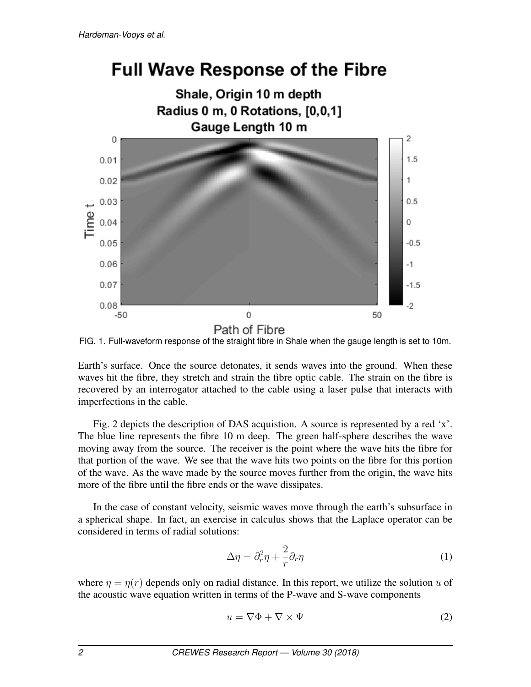# **Full Wave Response of the Fibre**





Earth's surface. Once the source detonates, it sends waves into the ground. When these waves hit the fibre, they stretch and strain the fibre optic cable. The strain on the fibre is recovered by an interrogator attached to the cable using a laser pulse that interacts with imperfections in the cable.

Fig. 2 depicts the description of DAS acquistion. A source is represented by a red 'x'. The blue line represents the fibre 10 m deep. The green half-sphere describes the wave moving away from the source. The receiver is the point where the wave hits the fibre for that portion of the wave. We see that the wave hits two points on the fibre for this portion of the wave. As the wave made by the source moves further from the origin, the wave hits more of the fibre until the fibre ends or the wave dissipates.

In the case of constant velocity, seismic waves move through the earth's subsurface in a spherical shape. In fact, an exercise in calculus shows that the Laplace operator can be considered in terms of radial solutions:

$$
\Delta \eta = \partial_r^2 \eta + \frac{2}{r} \partial_r \eta \tag{1}
$$

where  $\eta = \eta(r)$  depends only on radial distance. In this report, we utilize the solution u of the acoustic wave equation written in terms of the P-wave and S-wave components

$$
u = \nabla \Phi + \nabla \times \Psi \tag{2}
$$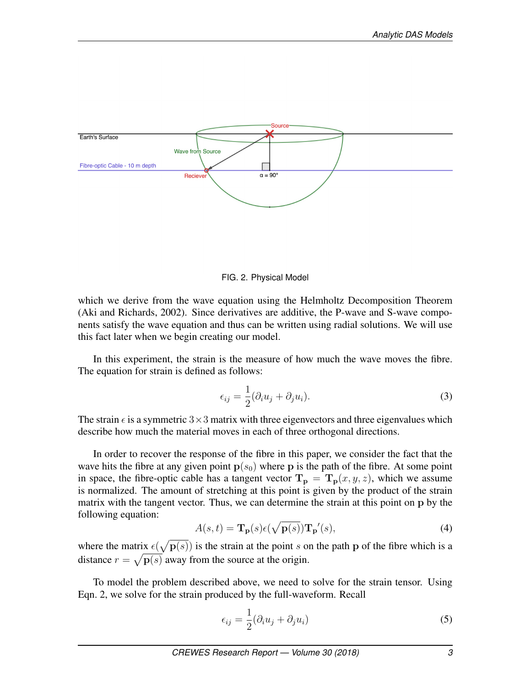

FIG. 2. Physical Model

which we derive from the wave equation using the Helmholtz Decomposition Theorem (Aki and Richards, 2002). Since derivatives are additive, the P-wave and S-wave components satisfy the wave equation and thus can be written using radial solutions. We will use this fact later when we begin creating our model.

In this experiment, the strain is the measure of how much the wave moves the fibre. The equation for strain is defined as follows:

$$
\epsilon_{ij} = \frac{1}{2} (\partial_i u_j + \partial_j u_i). \tag{3}
$$

The strain  $\epsilon$  is a symmetric 3×3 matrix with three eigenvectors and three eigenvalues which describe how much the material moves in each of three orthogonal directions.

In order to recover the response of the fibre in this paper, we consider the fact that the wave hits the fibre at any given point  $p(s_0)$  where p is the path of the fibre. At some point in space, the fibre-optic cable has a tangent vector  $T_p = T_p(x, y, z)$ , which we assume is normalized. The amount of stretching at this point is given by the product of the strain matrix with the tangent vector. Thus, we can determine the strain at this point on p by the following equation:

$$
A(s,t) = \mathbf{T}_{\mathbf{p}}(s)\epsilon(\sqrt{\mathbf{p}(s)})\mathbf{T}_{\mathbf{p}}'(s),\tag{4}
$$

where the matrix  $\epsilon(\sqrt{\mathbf{p}(s)})$  is the strain at the point s on the path p of the fibre which is a distance  $r = \sqrt{\mathbf{p}(s)}$  away from the source at the origin.

To model the problem described above, we need to solve for the strain tensor. Using Eqn. 2, we solve for the strain produced by the full-waveform. Recall

$$
\epsilon_{ij} = \frac{1}{2} (\partial_i u_j + \partial_j u_i)
$$
\n(5)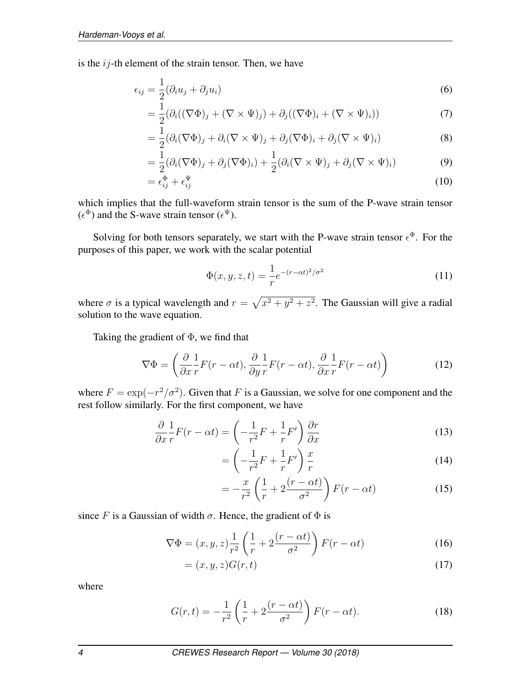is the  $ij$ -th element of the strain tensor. Then, we have

$$
\epsilon_{ij} = \frac{1}{2}(\partial_i u_j + \partial_j u_i) \tag{6}
$$

$$
= \frac{1}{2} (\partial_i ((\nabla \Phi)_j + (\nabla \times \Psi)_j) + \partial_j ((\nabla \Phi)_i + (\nabla \times \Psi)_i))
$$
(7)

$$
= \frac{1}{2} (\partial_i (\nabla \Phi)_j + \partial_i (\nabla \times \Psi)_j + \partial_j (\nabla \Phi)_i + \partial_j (\nabla \times \Psi)_i)
$$
(8)

$$
= \frac{1}{2}(\partial_i(\nabla\Phi)_j + \partial_j(\nabla\Phi)_i) + \frac{1}{2}(\partial_i(\nabla\times\Psi)_j + \partial_j(\nabla\times\Psi)_i)
$$
(9)

$$
= \epsilon_{ij}^{\Phi} + \epsilon_{ij}^{\Psi} \tag{10}
$$

which implies that the full-waveform strain tensor is the sum of the P-wave strain tensor  $(\epsilon^{\Phi})$  and the S-wave strain tensor  $(\epsilon^{\Psi})$ .

Solving for both tensors separately, we start with the P-wave strain tensor  $\epsilon^{\Phi}$ . For the purposes of this paper, we work with the scalar potential

$$
\Phi(x, y, z, t) = \frac{1}{r} e^{-(r - \alpha t)^2 / \sigma^2}
$$
\n(11)

where  $\sigma$  is a typical wavelength and  $r = \sqrt{x^2 + y^2 + z^2}$ . The Gaussian will give a radial solution to the wave equation.

Taking the gradient of  $\Phi$ , we find that

$$
\nabla \Phi = \left(\frac{\partial}{\partial x}\frac{1}{r}F(r - \alpha t), \frac{\partial}{\partial y}\frac{1}{r}F(r - \alpha t), \frac{\partial}{\partial x}\frac{1}{r}F(r - \alpha t)\right)
$$
(12)

where  $F = \exp(-r^2/\sigma^2)$ . Given that F is a Gaussian, we solve for one component and the rest follow similarly. For the first component, we have

$$
\frac{\partial}{\partial x} \frac{1}{r} F(r - \alpha t) = \left( -\frac{1}{r^2} F + \frac{1}{r} F' \right) \frac{\partial r}{\partial x}
$$
\n(13)

$$
= \left(-\frac{1}{r^2}F + \frac{1}{r}F'\right)\frac{x}{r}
$$
\n(14)

$$
= -\frac{x}{r^2} \left( \frac{1}{r} + 2 \frac{(r - \alpha t)}{\sigma^2} \right) F(r - \alpha t)
$$
 (15)

since F is a Gaussian of width  $\sigma$ . Hence, the gradient of  $\Phi$  is

$$
\nabla \Phi = (x, y, z) \frac{1}{r^2} \left( \frac{1}{r} + 2 \frac{(r - \alpha t)}{\sigma^2} \right) F(r - \alpha t)
$$
 (16)

$$
= (x, y, z)G(r, t) \tag{17}
$$

where

$$
G(r,t) = -\frac{1}{r^2} \left(\frac{1}{r} + 2\frac{(r - \alpha t)}{\sigma^2}\right) F(r - \alpha t). \tag{18}
$$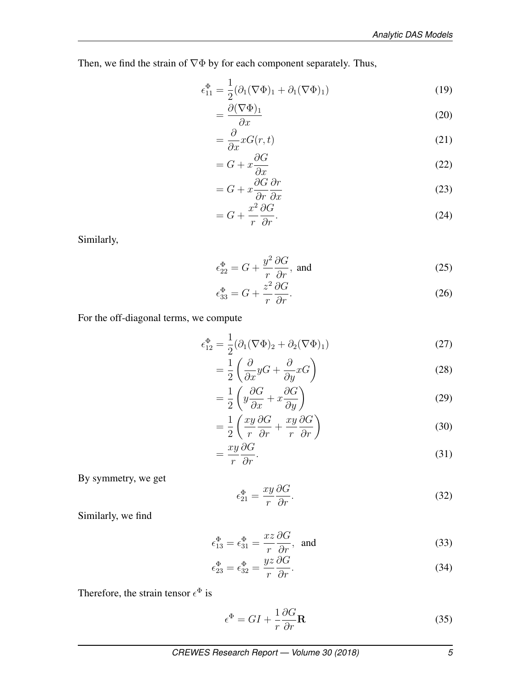Then, we find the strain of ∇Φ by for each component separately. Thus,

$$
\epsilon_{11}^{\Phi} = \frac{1}{2} (\partial_1 (\nabla \Phi)_1 + \partial_1 (\nabla \Phi)_1)
$$
\n(19)

$$
=\frac{\partial(\nabla\Phi)_1}{\partial x}\tag{20}
$$

$$
=\frac{\partial}{\partial x}xG(r,t)\tag{21}
$$

$$
= G + x \frac{\partial G}{\partial x} \tag{22}
$$

$$
= G + x \frac{\partial G}{\partial r} \frac{\partial r}{\partial x}
$$
\n(23)

$$
= G + \frac{x^2}{r} \frac{\partial G}{\partial r}.
$$
\n(24)

Similarly,

$$
\epsilon_{22}^{\Phi} = G + \frac{y^2}{r} \frac{\partial G}{\partial r}, \text{ and} \tag{25}
$$

$$
\epsilon_{33}^{\Phi} = G + \frac{z^2}{r} \frac{\partial G}{\partial r}.
$$
\n(26)

For the off-diagonal terms, we compute

$$
\epsilon_{12}^{\Phi} = \frac{1}{2} (\partial_1 (\nabla \Phi)_2 + \partial_2 (\nabla \Phi)_1)
$$
 (27)

$$
=\frac{1}{2}\left(\frac{\partial}{\partial x}yG + \frac{\partial}{\partial y}xG\right) \tag{28}
$$

$$
=\frac{1}{2}\left(y\frac{\partial G}{\partial x}+x\frac{\partial G}{\partial y}\right)
$$
\n(29)

$$
= \frac{1}{2} \left( \frac{xy}{r} \frac{\partial G}{\partial r} + \frac{xy}{r} \frac{\partial G}{\partial r} \right)
$$
(30)

$$
=\frac{xy}{r}\frac{\partial G}{\partial r}.
$$
\n(31)

By symmetry, we get

$$
\epsilon_{21}^{\Phi} = \frac{xy}{r} \frac{\partial G}{\partial r}.
$$
\n(32)

Similarly, we find

$$
\epsilon_{13}^{\Phi} = \epsilon_{31}^{\Phi} = \frac{xz}{r} \frac{\partial G}{\partial r}, \text{ and}
$$
 (33)

$$
\epsilon_{23}^{\Phi} = \epsilon_{32}^{\Phi} = \frac{yz}{r} \frac{\partial G}{\partial r}.
$$
\n(34)

Therefore, the strain tensor  $\epsilon^{\Phi}$  is

$$
\epsilon^{\Phi} = GI + \frac{1}{r} \frac{\partial G}{\partial r} \mathbf{R}
$$
\n(35)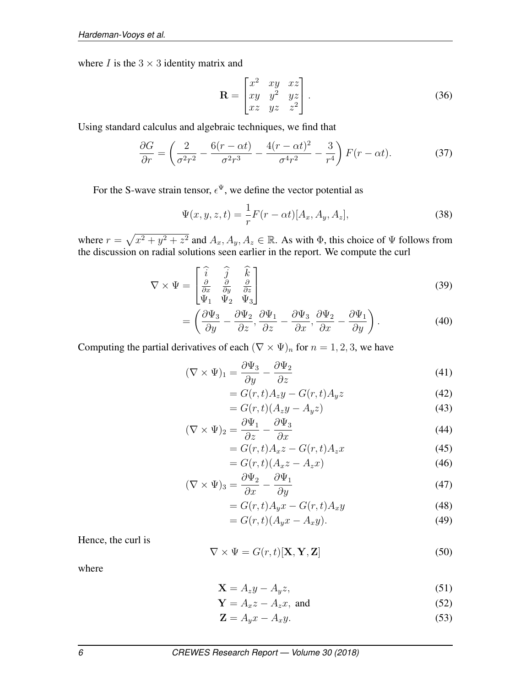where  $I$  is the  $3 \times 3$  identity matrix and

$$
\mathbf{R} = \begin{bmatrix} x^2 & xy & xz \\ xy & y^2 & yz \\ xz & yz & z^2 \end{bmatrix} . \tag{36}
$$

Using standard calculus and algebraic techniques, we find that

$$
\frac{\partial G}{\partial r} = \left(\frac{2}{\sigma^2 r^2} - \frac{6(r - \alpha t)}{\sigma^2 r^3} - \frac{4(r - \alpha t)^2}{\sigma^4 r^2} - \frac{3}{r^4}\right) F(r - \alpha t). \tag{37}
$$

For the S-wave strain tensor,  $\epsilon^{\Psi}$ , we define the vector potential as

$$
\Psi(x, y, z, t) = \frac{1}{r} F(r - \alpha t) [A_x, A_y, A_z],
$$
\n(38)

where  $r = \sqrt{x^2 + y^2 + z^2}$  and  $A_x, A_y, A_z \in \mathbb{R}$ . As with  $\Phi$ , this choice of  $\Psi$  follows from the discussion on radial solutions seen earlier in the report. We compute the curl

$$
\nabla \times \Psi = \begin{bmatrix} \hat{i} & \hat{j} & \hat{k} \\ \frac{\partial}{\partial x} & \frac{\partial}{\partial y} & \frac{\partial}{\partial z} \\ \Psi_1 & \Psi_2 & \Psi_3 \end{bmatrix}
$$
(39)

$$
= \left(\frac{\partial \Psi_3}{\partial y} - \frac{\partial \Psi_2}{\partial z}, \frac{\partial \Psi_1}{\partial z} - \frac{\partial \Psi_3}{\partial x}, \frac{\partial \Psi_2}{\partial x} - \frac{\partial \Psi_1}{\partial y}\right).
$$
 (40)

Computing the partial derivatives of each  $(\nabla \times \Psi)_n$  for  $n = 1, 2, 3$ , we have

$$
(\nabla \times \Psi)_{1} = \frac{\partial \Psi_{3}}{\partial y} - \frac{\partial \Psi_{2}}{\partial z}
$$
\n(41)

$$
= G(r,t)A_zy - G(r,t)A_yz \tag{42}
$$

$$
= G(r,t)(A_zy - A_yz)
$$
\n(43)

$$
(\nabla \times \Psi)_2 = \frac{\partial \Psi_1}{\partial z} - \frac{\partial \Psi_3}{\partial x} \tag{44}
$$

$$
= G(r,t)A_x z - G(r,t)A_z x \tag{45}
$$

$$
= G(r,t)(A_x z - A_z x)
$$
\n<sup>(46)</sup>

$$
(\nabla \times \Psi)_3 = \frac{\partial \Psi_2}{\partial x} - \frac{\partial \Psi_1}{\partial y} \tag{47}
$$

$$
= G(r,t)A_y x - G(r,t)A_x y \tag{48}
$$

$$
= G(r,t)(A_y x - A_x y). \tag{49}
$$

Hence, the curl is

$$
\nabla \times \Psi = G(r, t)[\mathbf{X}, \mathbf{Y}, \mathbf{Z}] \tag{50}
$$

where

$$
\mathbf{X} = A_z y - A_y z,\tag{51}
$$

$$
\mathbf{Y} = A_x z - A_z x, \text{ and } \tag{52}
$$

$$
\mathbf{Z} = A_y x - A_x y. \tag{53}
$$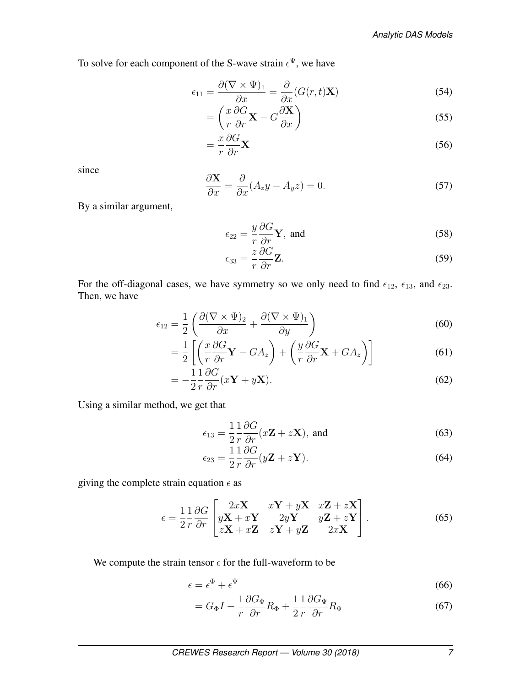To solve for each component of the S-wave strain  $\epsilon^{\Psi}$ , we have

$$
\epsilon_{11} = \frac{\partial (\nabla \times \Psi)_1}{\partial x} = \frac{\partial}{\partial x} (G(r, t) \mathbf{X})
$$
\n(54)

$$
= \left(\frac{x}{r}\frac{\partial G}{\partial r}\mathbf{X} - G\frac{\partial \mathbf{X}}{\partial x}\right)
$$
(55)

$$
=\frac{x}{r}\frac{\partial G}{\partial r}\mathbf{X}\tag{56}
$$

since

$$
\frac{\partial \mathbf{X}}{\partial x} = \frac{\partial}{\partial x} (A_z y - A_y z) = 0.
$$
 (57)

By a similar argument,

$$
\epsilon_{22} = \frac{y}{r} \frac{\partial G}{\partial r} \mathbf{Y}, \text{ and}
$$
 (58)

$$
\epsilon_{33} = \frac{z}{r} \frac{\partial G}{\partial r} \mathbf{Z}.
$$
\n(59)

For the off-diagonal cases, we have symmetry so we only need to find  $\epsilon_{12}$ ,  $\epsilon_{13}$ , and  $\epsilon_{23}$ . Then, we have

$$
\epsilon_{12} = \frac{1}{2} \left( \frac{\partial (\nabla \times \Psi)_2}{\partial x} + \frac{\partial (\nabla \times \Psi)_1}{\partial y} \right) \tag{60}
$$

$$
= \frac{1}{2} \left[ \left( \frac{x}{r} \frac{\partial G}{\partial r} \mathbf{Y} - GA_z \right) + \left( \frac{y}{r} \frac{\partial G}{\partial r} \mathbf{X} + GA_z \right) \right]
$$
(61)

$$
= -\frac{1}{2} \frac{1}{r} \frac{\partial G}{\partial r} (x\mathbf{Y} + y\mathbf{X}). \tag{62}
$$

Using a similar method, we get that

$$
\epsilon_{13} = \frac{1}{2} \frac{1}{r} \frac{\partial G}{\partial r} (x \mathbf{Z} + z \mathbf{X}), \text{ and}
$$
 (63)

$$
\epsilon_{23} = \frac{1}{2} \frac{1}{r} \frac{\partial G}{\partial r} (y \mathbf{Z} + z \mathbf{Y}). \tag{64}
$$

giving the complete strain equation  $\epsilon$  as

$$
\epsilon = \frac{1}{2} \frac{1}{r} \frac{\partial G}{\partial r} \begin{bmatrix} 2xX & xY + yX & xZ + zX \\ yX + xY & 2yY & yZ + zY \\ zX + xZ & zY + yZ & 2xX \end{bmatrix} . \tag{65}
$$

We compute the strain tensor  $\epsilon$  for the full-waveform to be

$$
\epsilon = \epsilon^{\Phi} + \epsilon^{\Psi} \tag{66}
$$

$$
= G_{\Phi}I + \frac{1}{r}\frac{\partial G_{\Phi}}{\partial r}R_{\Phi} + \frac{1}{2}\frac{1}{r}\frac{\partial G_{\Psi}}{\partial r}R_{\Psi}
$$
(67)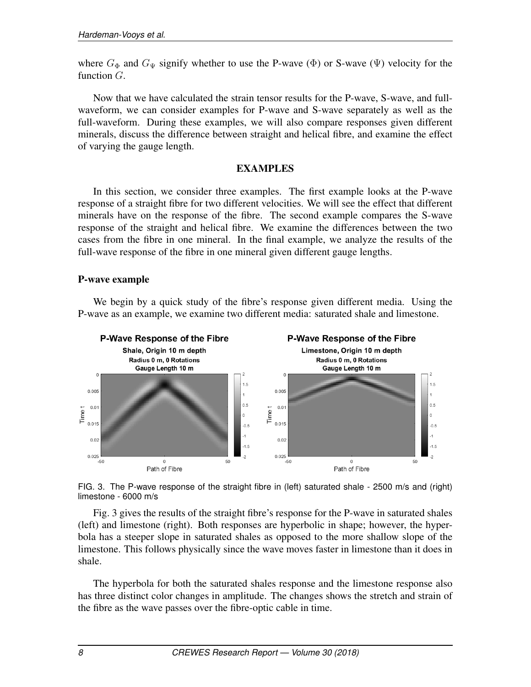where  $G_{\Phi}$  and  $G_{\Psi}$  signify whether to use the P-wave ( $\Phi$ ) or S-wave ( $\Psi$ ) velocity for the function  $G$ .

Now that we have calculated the strain tensor results for the P-wave, S-wave, and fullwaveform, we can consider examples for P-wave and S-wave separately as well as the full-waveform. During these examples, we will also compare responses given different minerals, discuss the difference between straight and helical fibre, and examine the effect of varying the gauge length.

#### EXAMPLES

In this section, we consider three examples. The first example looks at the P-wave response of a straight fibre for two different velocities. We will see the effect that different minerals have on the response of the fibre. The second example compares the S-wave response of the straight and helical fibre. We examine the differences between the two cases from the fibre in one mineral. In the final example, we analyze the results of the full-wave response of the fibre in one mineral given different gauge lengths.

#### P-wave example

We begin by a quick study of the fibre's response given different media. Using the P-wave as an example, we examine two different media: saturated shale and limestone.



FIG. 3. The P-wave response of the straight fibre in (left) saturated shale - 2500 m/s and (right) limestone - 6000 m/s

Fig. 3 gives the results of the straight fibre's response for the P-wave in saturated shales (left) and limestone (right). Both responses are hyperbolic in shape; however, the hyperbola has a steeper slope in saturated shales as opposed to the more shallow slope of the limestone. This follows physically since the wave moves faster in limestone than it does in shale.

The hyperbola for both the saturated shales response and the limestone response also has three distinct color changes in amplitude. The changes shows the stretch and strain of the fibre as the wave passes over the fibre-optic cable in time.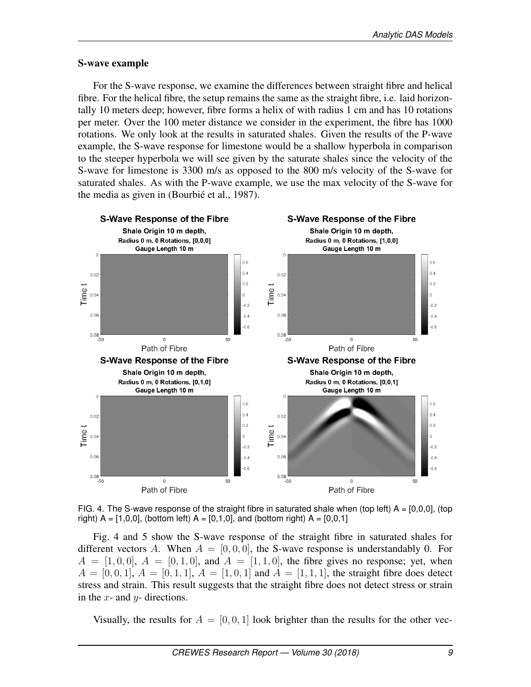#### S-wave example

For the S-wave response, we examine the differences between straight fibre and helical fibre. For the helical fibre, the setup remains the same as the straight fibre, i.e. laid horizontally 10 meters deep; however, fibre forms a helix of with radius 1 cm and has 10 rotations per meter. Over the 100 meter distance we consider in the experiment, the fibre has 1000 rotations. We only look at the results in saturated shales. Given the results of the P-wave example, the S-wave response for limestone would be a shallow hyperbola in comparison to the steeper hyperbola we will see given by the saturate shales since the velocity of the S-wave for limestone is 3300 m/s as opposed to the 800 m/s velocity of the S-wave for saturated shales. As with the P-wave example, we use the max velocity of the S-wave for the media as given in (Bourbié et al., 1987).



FIG. 4. The S-wave response of the straight fibre in saturated shale when (top left)  $A = [0,0,0]$ , (top right)  $A = [1, 0, 0]$ , (bottom left)  $A = [0, 1, 0]$ , and (bottom right)  $A = [0, 0, 1]$ 

Fig. 4 and 5 show the S-wave response of the straight fibre in saturated shales for different vectors A. When  $A = [0, 0, 0]$ , the S-wave response is understandably 0. For  $A = [1, 0, 0], A = [0, 1, 0],$  and  $A = [1, 1, 0],$  the fibre gives no response; yet, when  $A = [0, 0, 1], A = [0, 1, 1], A = [1, 0, 1]$  and  $A = [1, 1, 1],$  the straight fibre does detect stress and strain. This result suggests that the straight fibre does not detect stress or strain in the  $x$ - and  $y$ - directions.

Visually, the results for  $A = [0, 0, 1]$  look brighter than the results for the other vec-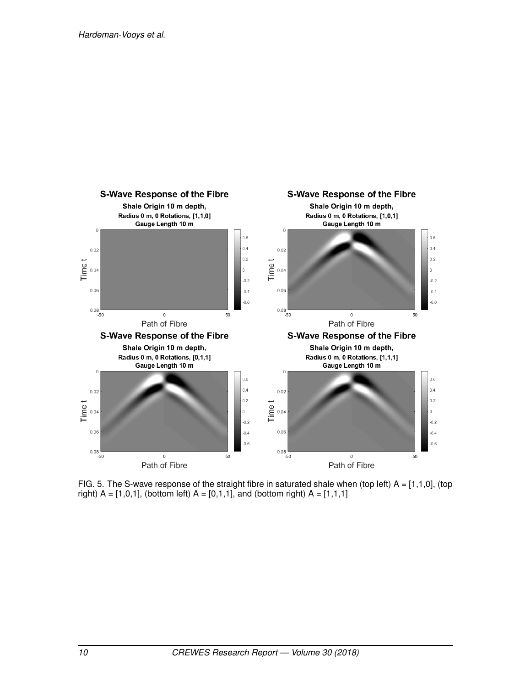

FIG. 5. The S-wave response of the straight fibre in saturated shale when (top left)  $A = [1,1,0]$ , (top right)  $A = [1, 0, 1]$ , (bottom left)  $A = [0, 1, 1]$ , and (bottom right)  $A = [1, 1, 1]$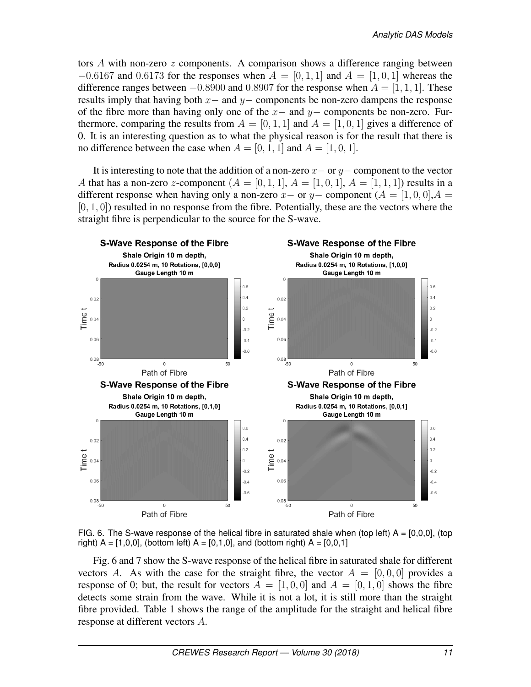tors A with non-zero  $z$  components. A comparison shows a difference ranging between  $-0.6167$  and 0.6173 for the responses when  $A = [0, 1, 1]$  and  $A = [1, 0, 1]$  whereas the difference ranges between  $-0.8900$  and 0.8907 for the response when  $A = [1, 1, 1]$ . These results imply that having both  $x-$  and  $y-$  components be non-zero dampens the response of the fibre more than having only one of the  $x-$  and  $y-$  components be non-zero. Furthermore, comparing the results from  $A = [0, 1, 1]$  and  $A = [1, 0, 1]$  gives a difference of 0. It is an interesting question as to what the physical reason is for the result that there is no difference between the case when  $A = [0, 1, 1]$  and  $A = [1, 0, 1]$ .

It is interesting to note that the addition of a non-zero  $x-$  or  $y-$  component to the vector A that has a non-zero z-component  $(A = [0, 1, 1], A = [1, 0, 1], A = [1, 1, 1]$  results in a different response when having only a non-zero x– or y– component  $(A = [1, 0, 0], A =$  $[0, 1, 0]$ ) resulted in no response from the fibre. Potentially, these are the vectors where the straight fibre is perpendicular to the source for the S-wave.





Fig. 6 and 7 show the S-wave response of the helical fibre in saturated shale for different vectors A. As with the case for the straight fibre, the vector  $A = [0, 0, 0]$  provides a response of 0; but, the result for vectors  $A = \begin{bmatrix} 1, 0, 0 \end{bmatrix}$  and  $A = \begin{bmatrix} 0, 1, 0 \end{bmatrix}$  shows the fibre detects some strain from the wave. While it is not a lot, it is still more than the straight fibre provided. Table 1 shows the range of the amplitude for the straight and helical fibre response at different vectors A.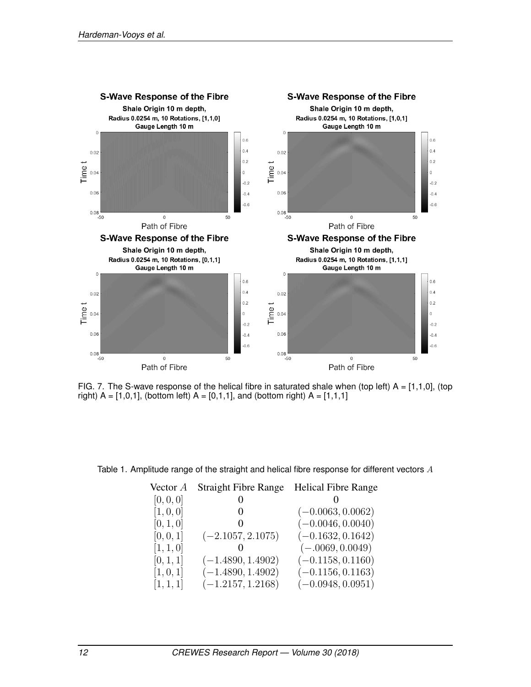

FIG. 7. The S-wave response of the helical fibre in saturated shale when (top left)  $A = [1,1,0]$ , (top right)  $A = [1, 0, 1]$ , (bottom left)  $A = [0, 1, 1]$ , and (bottom right)  $A = [1, 1, 1]$ 

Table 1. Amplitude range of the straight and helical fibre response for different vectors A

| Vector A  | <b>Straight Fibre Range</b> | <b>Helical Fibre Range</b> |
|-----------|-----------------------------|----------------------------|
| [0, 0, 0] |                             |                            |
| [1, 0, 0] | $\theta$                    | $(-0.0063, 0.0062)$        |
| [0, 1, 0] |                             | $(-0.0046, 0.0040)$        |
| [0, 0, 1] | $(-2.1057, 2.1075)$         | $(-0.1632, 0.1642)$        |
| [1, 1, 0] |                             | $(-.0069, 0.0049)$         |
| [0, 1, 1] | $(-1.4890, 1.4902)$         | $(-0.1158, 0.1160)$        |
| [1, 0, 1] | $(-1.4890, 1.4902)$         | $(-0.1156, 0.1163)$        |
| [1, 1, 1] | $(-1.2157, 1.2168)$         | $(-0.0948, 0.0951)$        |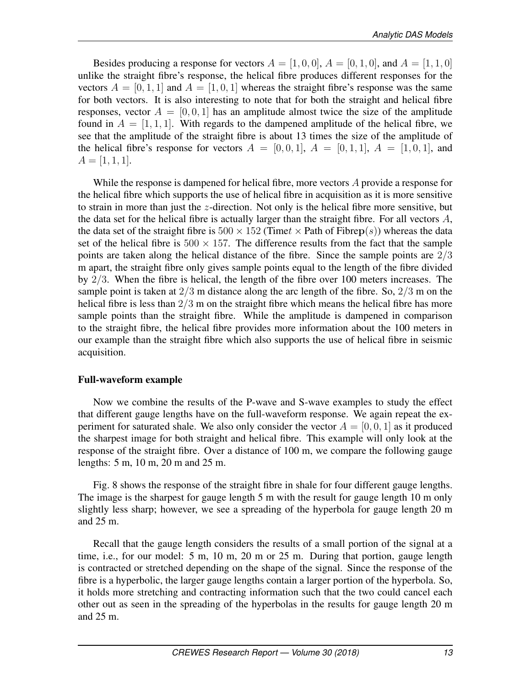Besides producing a response for vectors  $A = \begin{bmatrix} 1, 0, 0 \end{bmatrix}$ ,  $A = \begin{bmatrix} 0, 1, 0 \end{bmatrix}$ , and  $A = \begin{bmatrix} 1, 1, 0 \end{bmatrix}$ unlike the straight fibre's response, the helical fibre produces different responses for the vectors  $A = [0, 1, 1]$  and  $A = [1, 0, 1]$  whereas the straight fibre's response was the same for both vectors. It is also interesting to note that for both the straight and helical fibre responses, vector  $A = [0, 0, 1]$  has an amplitude almost twice the size of the amplitude found in  $A = \begin{bmatrix} 1, 1, 1 \end{bmatrix}$ . With regards to the dampened amplitude of the helical fibre, we see that the amplitude of the straight fibre is about 13 times the size of the amplitude of the helical fibre's response for vectors  $A = [0, 0, 1], A = [0, 1, 1], A = [1, 0, 1],$  and  $A = [1, 1, 1].$ 

While the response is dampened for helical fibre, more vectors A provide a response for the helical fibre which supports the use of helical fibre in acquisition as it is more sensitive to strain in more than just the z-direction. Not only is the helical fibre more sensitive, but the data set for the helical fibre is actually larger than the straight fibre. For all vectors  $A$ , the data set of the straight fibre is  $500 \times 152$  (Timet  $\times$  Path of Fibrep(s)) whereas the data set of the helical fibre is  $500 \times 157$ . The difference results from the fact that the sample points are taken along the helical distance of the fibre. Since the sample points are 2/3 m apart, the straight fibre only gives sample points equal to the length of the fibre divided by 2/3. When the fibre is helical, the length of the fibre over 100 meters increases. The sample point is taken at  $2/3$  m distance along the arc length of the fibre. So,  $2/3$  m on the helical fibre is less than  $2/3$  m on the straight fibre which means the helical fibre has more sample points than the straight fibre. While the amplitude is dampened in comparison to the straight fibre, the helical fibre provides more information about the 100 meters in our example than the straight fibre which also supports the use of helical fibre in seismic acquisition.

#### Full-waveform example

Now we combine the results of the P-wave and S-wave examples to study the effect that different gauge lengths have on the full-waveform response. We again repeat the experiment for saturated shale. We also only consider the vector  $A = [0, 0, 1]$  as it produced the sharpest image for both straight and helical fibre. This example will only look at the response of the straight fibre. Over a distance of 100 m, we compare the following gauge lengths: 5 m, 10 m, 20 m and 25 m.

Fig. 8 shows the response of the straight fibre in shale for four different gauge lengths. The image is the sharpest for gauge length 5 m with the result for gauge length 10 m only slightly less sharp; however, we see a spreading of the hyperbola for gauge length 20 m and 25 m.

Recall that the gauge length considers the results of a small portion of the signal at a time, i.e., for our model: 5 m, 10 m, 20 m or 25 m. During that portion, gauge length is contracted or stretched depending on the shape of the signal. Since the response of the fibre is a hyperbolic, the larger gauge lengths contain a larger portion of the hyperbola. So, it holds more stretching and contracting information such that the two could cancel each other out as seen in the spreading of the hyperbolas in the results for gauge length 20 m and 25 m.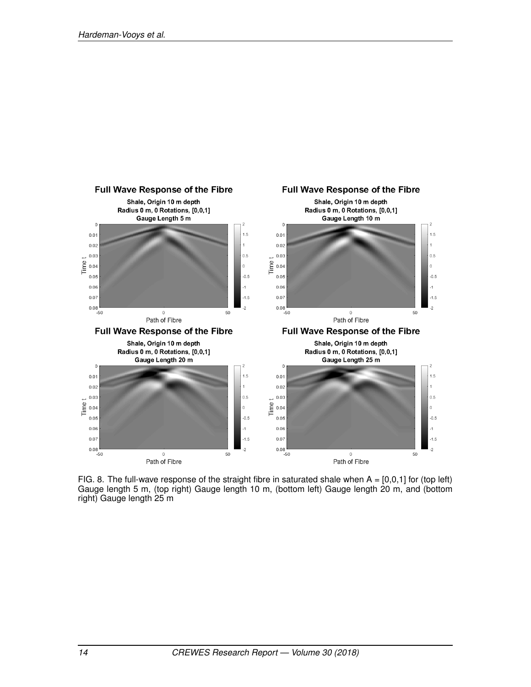

FIG. 8. The full-wave response of the straight fibre in saturated shale when  $A = [0,0,1]$  for (top left) Gauge length 5 m, (top right) Gauge length 10 m, (bottom left) Gauge length 20 m, and (bottom right) Gauge length 25 m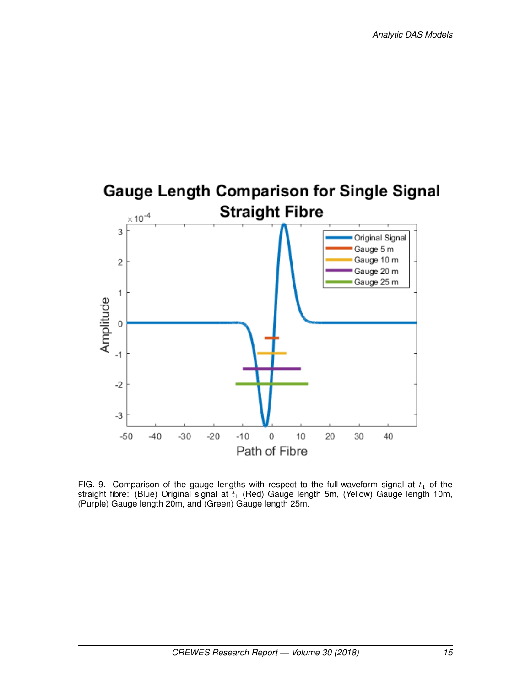

FIG. 9. Comparison of the gauge lengths with respect to the full-waveform signal at  $t_1$  of the straight fibre: (Blue) Original signal at  $t_1$  (Red) Gauge length 5m, (Yellow) Gauge length 10m, (Purple) Gauge length 20m, and (Green) Gauge length 25m.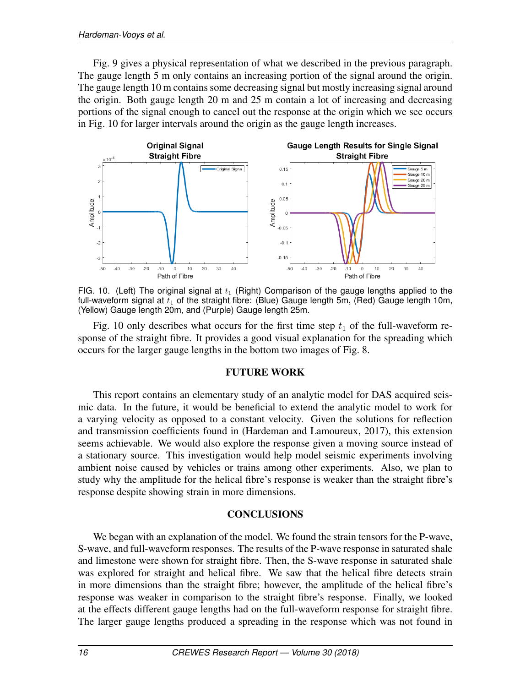Fig. 9 gives a physical representation of what we described in the previous paragraph. The gauge length 5 m only contains an increasing portion of the signal around the origin. The gauge length 10 m contains some decreasing signal but mostly increasing signal around the origin. Both gauge length 20 m and 25 m contain a lot of increasing and decreasing portions of the signal enough to cancel out the response at the origin which we see occurs in Fig. 10 for larger intervals around the origin as the gauge length increases.



FIG. 10. (Left) The original signal at  $t_1$  (Right) Comparison of the gauge lengths applied to the full-waveform signal at  $t_1$  of the straight fibre: (Blue) Gauge length 5m, (Red) Gauge length 10m, (Yellow) Gauge length 20m, and (Purple) Gauge length 25m.

Fig. 10 only describes what occurs for the first time step  $t_1$  of the full-waveform response of the straight fibre. It provides a good visual explanation for the spreading which occurs for the larger gauge lengths in the bottom two images of Fig. 8.

#### FUTURE WORK

This report contains an elementary study of an analytic model for DAS acquired seismic data. In the future, it would be beneficial to extend the analytic model to work for a varying velocity as opposed to a constant velocity. Given the solutions for reflection and transmission coefficients found in (Hardeman and Lamoureux, 2017), this extension seems achievable. We would also explore the response given a moving source instead of a stationary source. This investigation would help model seismic experiments involving ambient noise caused by vehicles or trains among other experiments. Also, we plan to study why the amplitude for the helical fibre's response is weaker than the straight fibre's response despite showing strain in more dimensions.

#### **CONCLUSIONS**

We began with an explanation of the model. We found the strain tensors for the P-wave, S-wave, and full-waveform responses. The results of the P-wave response in saturated shale and limestone were shown for straight fibre. Then, the S-wave response in saturated shale was explored for straight and helical fibre. We saw that the helical fibre detects strain in more dimensions than the straight fibre; however, the amplitude of the helical fibre's response was weaker in comparison to the straight fibre's response. Finally, we looked at the effects different gauge lengths had on the full-waveform response for straight fibre. The larger gauge lengths produced a spreading in the response which was not found in